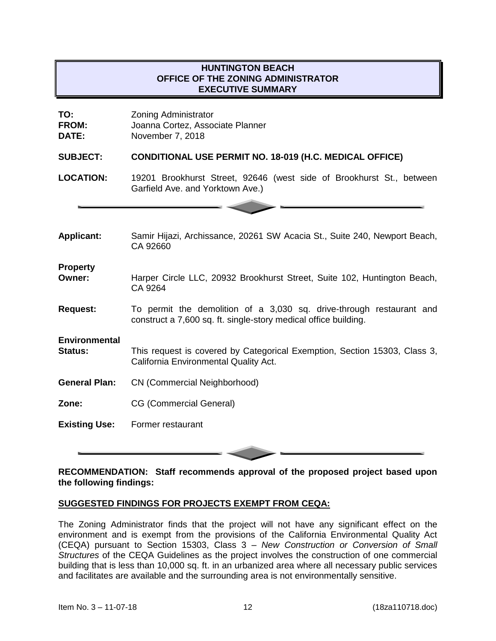## **HUNTINGTON BEACH OFFICE OF THE ZONING ADMINISTRATOR EXECUTIVE SUMMARY**

| TO:<br><b>FROM:</b><br>DATE:           | <b>Zoning Administrator</b><br>Joanna Cortez, Associate Planner<br>November 7, 2018                                                     |
|----------------------------------------|-----------------------------------------------------------------------------------------------------------------------------------------|
| <b>SUBJECT:</b>                        | <b>CONDITIONAL USE PERMIT NO. 18-019 (H.C. MEDICAL OFFICE)</b>                                                                          |
| <b>LOCATION:</b>                       | 19201 Brookhurst Street, 92646 (west side of Brookhurst St., between<br>Garfield Ave. and Yorktown Ave.)                                |
|                                        |                                                                                                                                         |
| <b>Applicant:</b>                      | Samir Hijazi, Archissance, 20261 SW Acacia St., Suite 240, Newport Beach,<br>CA 92660                                                   |
| <b>Property</b><br>Owner:              | Harper Circle LLC, 20932 Brookhurst Street, Suite 102, Huntington Beach,<br>CA 9264                                                     |
| <b>Request:</b>                        | To permit the demolition of a 3,030 sq. drive-through restaurant and<br>construct a 7,600 sq. ft. single-story medical office building. |
| <b>Environmental</b><br><b>Status:</b> | This request is covered by Categorical Exemption, Section 15303, Class 3,<br>California Environmental Quality Act.                      |
| <b>General Plan:</b>                   | CN (Commercial Neighborhood)                                                                                                            |
| Zone:                                  | <b>CG (Commercial General)</b>                                                                                                          |
| <b>Existing Use:</b>                   | Former restaurant                                                                                                                       |

#### **RECOMMENDATION: Staff recommends approval of the proposed project based upon the following findings:**

### **SUGGESTED FINDINGS FOR PROJECTS EXEMPT FROM CEQA:**

The Zoning Administrator finds that the project will not have any significant effect on the environment and is exempt from the provisions of the California Environmental Quality Act (CEQA) pursuant to Section 15303, Class 3 – *New Construction or Conversion of Small Structures* of the CEQA Guidelines as the project involves the construction of one commercial building that is less than 10,000 sq. ft. in an urbanized area where all necessary public services and facilitates are available and the surrounding area is not environmentally sensitive.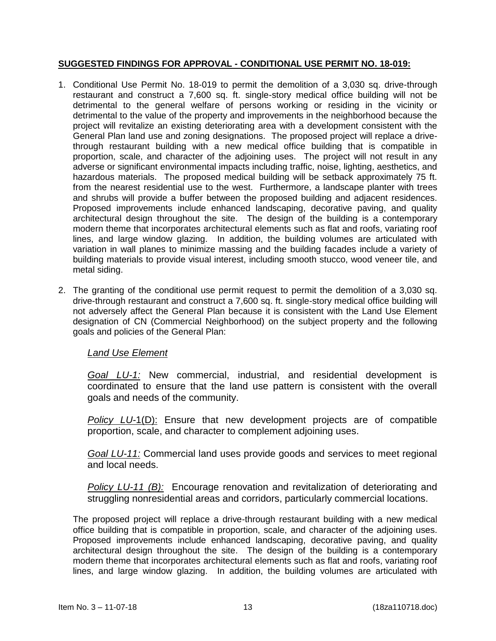### **SUGGESTED FINDINGS FOR APPROVAL - CONDITIONAL USE PERMIT NO. 18-019:**

- 1. Conditional Use Permit No. 18-019 to permit the demolition of a 3,030 sq. drive-through restaurant and construct a 7,600 sq. ft. single-story medical office building will not be detrimental to the general welfare of persons working or residing in the vicinity or detrimental to the value of the property and improvements in the neighborhood because the project will revitalize an existing deteriorating area with a development consistent with the General Plan land use and zoning designations. The proposed project will replace a drivethrough restaurant building with a new medical office building that is compatible in proportion, scale, and character of the adjoining uses. The project will not result in any adverse or significant environmental impacts including traffic, noise, lighting, aesthetics, and hazardous materials. The proposed medical building will be setback approximately 75 ft. from the nearest residential use to the west. Furthermore, a landscape planter with trees and shrubs will provide a buffer between the proposed building and adjacent residences. Proposed improvements include enhanced landscaping, decorative paving, and quality architectural design throughout the site. The design of the building is a contemporary modern theme that incorporates architectural elements such as flat and roofs, variating roof lines, and large window glazing. In addition, the building volumes are articulated with variation in wall planes to minimize massing and the building facades include a variety of building materials to provide visual interest, including smooth stucco, wood veneer tile, and metal siding.
- 2. The granting of the conditional use permit request to permit the demolition of a 3,030 sq. drive-through restaurant and construct a 7,600 sq. ft. single-story medical office building will not adversely affect the General Plan because it is consistent with the Land Use Element designation of CN (Commercial Neighborhood) on the subject property and the following goals and policies of the General Plan:

# *Land Use Element*

*Goal LU-1:* New commercial, industrial, and residential development is coordinated to ensure that the land use pattern is consistent with the overall goals and needs of the community.

*Policy LU-*1(D): Ensure that new development projects are of compatible proportion, scale, and character to complement adjoining uses.

*Goal LU-11:* Commercial land uses provide goods and services to meet regional and local needs.

*Policy LU-11 (B):* Encourage renovation and revitalization of deteriorating and struggling nonresidential areas and corridors, particularly commercial locations.

The proposed project will replace a drive-through restaurant building with a new medical office building that is compatible in proportion, scale, and character of the adjoining uses. Proposed improvements include enhanced landscaping, decorative paving, and quality architectural design throughout the site. The design of the building is a contemporary modern theme that incorporates architectural elements such as flat and roofs, variating roof lines, and large window glazing. In addition, the building volumes are articulated with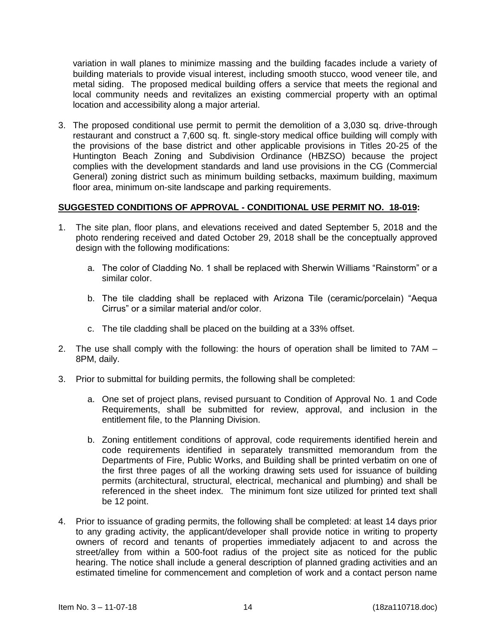variation in wall planes to minimize massing and the building facades include a variety of building materials to provide visual interest, including smooth stucco, wood veneer tile, and metal siding. The proposed medical building offers a service that meets the regional and local community needs and revitalizes an existing commercial property with an optimal location and accessibility along a major arterial.

3. The proposed conditional use permit to permit the demolition of a 3,030 sq. drive-through restaurant and construct a 7,600 sq. ft. single-story medical office building will comply with the provisions of the base district and other applicable provisions in Titles 20-25 of the Huntington Beach Zoning and Subdivision Ordinance (HBZSO) because the project complies with the development standards and land use provisions in the CG (Commercial General) zoning district such as minimum building setbacks, maximum building, maximum floor area, minimum on-site landscape and parking requirements.

#### **SUGGESTED CONDITIONS OF APPROVAL - CONDITIONAL USE PERMIT NO. 18-019:**

- 1. The site plan, floor plans, and elevations received and dated September 5, 2018 and the photo rendering received and dated October 29, 2018 shall be the conceptually approved design with the following modifications:
	- a. The color of Cladding No. 1 shall be replaced with Sherwin Williams "Rainstorm" or a similar color.
	- b. The tile cladding shall be replaced with Arizona Tile (ceramic/porcelain) "Aequa Cirrus" or a similar material and/or color.
	- c. The tile cladding shall be placed on the building at a 33% offset.
- 2. The use shall comply with the following: the hours of operation shall be limited to 7AM 8PM, daily.
- 3. Prior to submittal for building permits, the following shall be completed:
	- a. One set of project plans, revised pursuant to Condition of Approval No. 1 and Code Requirements, shall be submitted for review, approval, and inclusion in the entitlement file, to the Planning Division.
	- b. Zoning entitlement conditions of approval, code requirements identified herein and code requirements identified in separately transmitted memorandum from the Departments of Fire, Public Works, and Building shall be printed verbatim on one of the first three pages of all the working drawing sets used for issuance of building permits (architectural, structural, electrical, mechanical and plumbing) and shall be referenced in the sheet index. The minimum font size utilized for printed text shall be 12 point.
- 4. Prior to issuance of grading permits, the following shall be completed: at least 14 days prior to any grading activity, the applicant/developer shall provide notice in writing to property owners of record and tenants of properties immediately adjacent to and across the street/alley from within a 500-foot radius of the project site as noticed for the public hearing. The notice shall include a general description of planned grading activities and an estimated timeline for commencement and completion of work and a contact person name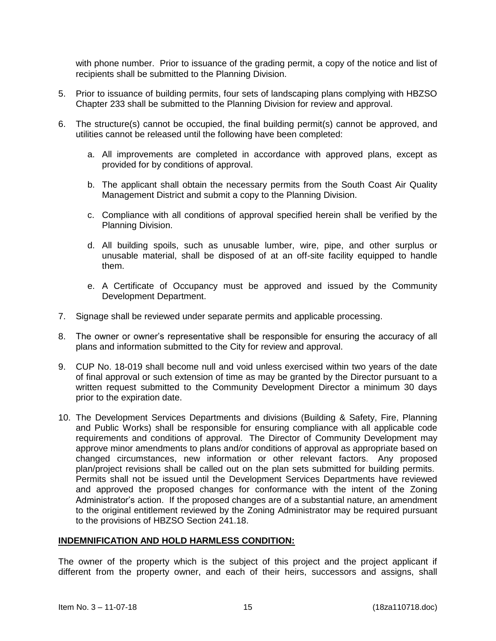with phone number. Prior to issuance of the grading permit, a copy of the notice and list of recipients shall be submitted to the Planning Division.

- 5. Prior to issuance of building permits, four sets of landscaping plans complying with HBZSO Chapter 233 shall be submitted to the Planning Division for review and approval.
- 6. The structure(s) cannot be occupied, the final building permit(s) cannot be approved, and utilities cannot be released until the following have been completed:
	- a. All improvements are completed in accordance with approved plans, except as provided for by conditions of approval.
	- b. The applicant shall obtain the necessary permits from the South Coast Air Quality Management District and submit a copy to the Planning Division.
	- c. Compliance with all conditions of approval specified herein shall be verified by the Planning Division.
	- d. All building spoils, such as unusable lumber, wire, pipe, and other surplus or unusable material, shall be disposed of at an off-site facility equipped to handle them.
	- e. A Certificate of Occupancy must be approved and issued by the Community Development Department.
- 7. Signage shall be reviewed under separate permits and applicable processing.
- 8. The owner or owner's representative shall be responsible for ensuring the accuracy of all plans and information submitted to the City for review and approval.
- 9. CUP No. 18-019 shall become null and void unless exercised within two years of the date of final approval or such extension of time as may be granted by the Director pursuant to a written request submitted to the Community Development Director a minimum 30 days prior to the expiration date.
- 10. The Development Services Departments and divisions (Building & Safety, Fire, Planning and Public Works) shall be responsible for ensuring compliance with all applicable code requirements and conditions of approval. The Director of Community Development may approve minor amendments to plans and/or conditions of approval as appropriate based on changed circumstances, new information or other relevant factors. Any proposed plan/project revisions shall be called out on the plan sets submitted for building permits. Permits shall not be issued until the Development Services Departments have reviewed and approved the proposed changes for conformance with the intent of the Zoning Administrator's action. If the proposed changes are of a substantial nature, an amendment to the original entitlement reviewed by the Zoning Administrator may be required pursuant to the provisions of HBZSO Section 241.18.

#### **INDEMNIFICATION AND HOLD HARMLESS CONDITION:**

The owner of the property which is the subject of this project and the project applicant if different from the property owner, and each of their heirs, successors and assigns, shall